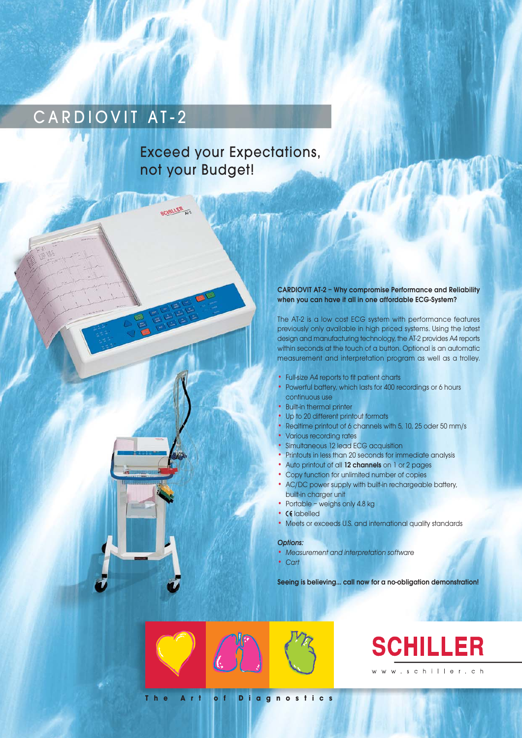# CARDIOVIT AT-2

## Exceed your Expectations, not your Budget!

CHILLER<sub>N7</sub>

## CARDIOVIT AT-2 – Why compromise Performance and Reliability when you can have it all in one affordable ECG-System?

The AT-2 is a low cost ECG system with performance features previously only available in high priced systems. Using the latest design and manufacturing technology, the AT-2 provides A4 reports within seconds at the touch of a button. Optional is an automatic measurement and interpretation program as well as a trolley.

- Full-size A4 reports to fit patient charts
- Powerful battery, which lasts for 400 recordings or 6 hours continuous use
- **Built-in thermal printer**
- Up to 20 different printout formats
- Realtime printout of 6 channels with 5, 10, 25 oder 50 mm/s
- Various recording rates
- Simultaneous 12 lead ECG acquisition
- Printouts in less than 20 seconds for immediate analysis
- Auto printout of all 12 channels on 1 or 2 pages
- Copy function for unlimited number of copies
- AC/DC power supply with built-in rechargeable battery, built-in charger unit
- Portable weighs only 4.8 kg
- CE labelled
- Meets or exceeds U.S. and international quality standards

## Options:

- Measurement and interpretation software
- Cart

Seeing is believing... call now for a no-obligation demonstration!